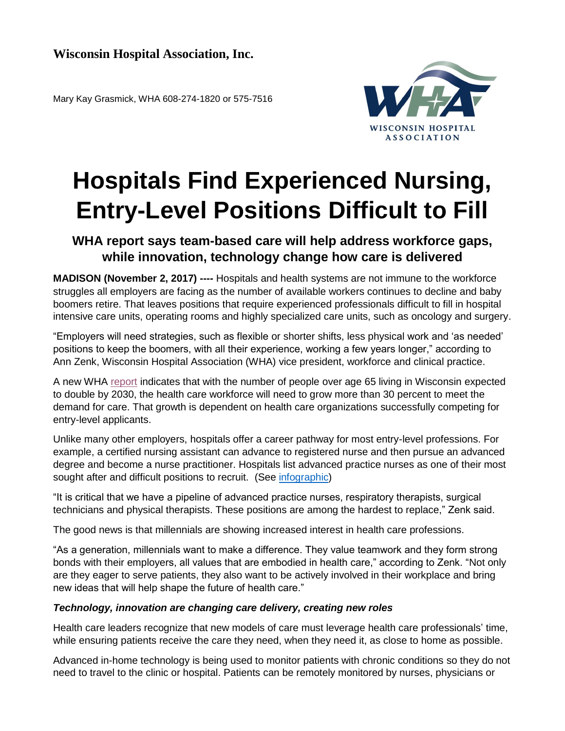Mary Kay Grasmick, WHA 608-274-1820 or 575-7516



## **Hospitals Find Experienced Nursing, Entry-Level Positions Difficult to Fill**

## **WHA report says team-based care will help address workforce gaps, while innovation, technology change how care is delivered**

**MADISON (November 2, 2017) ----** Hospitals and health systems are not immune to the workforce struggles all employers are facing as the number of available workers continues to decline and baby boomers retire. That leaves positions that require experienced professionals difficult to fill in hospital intensive care units, operating rooms and highly specialized care units, such as oncology and surgery.

"Employers will need strategies, such as flexible or shorter shifts, less physical work and 'as needed' positions to keep the boomers, with all their experience, working a few years longer," according to Ann Zenk, Wisconsin Hospital Association (WHA) vice president, workforce and clinical practice.

A new WHA [report](http://www.wha.org/pdf/2017workforcereport_web.pdf) indicates that with the number of people over age 65 living in Wisconsin expected to double by 2030, the health care workforce will need to grow more than 30 percent to meet the demand for care. That growth is dependent on health care organizations successfully competing for entry-level applicants.

Unlike many other employers, hospitals offer a career pathway for most entry-level professions. For example, a certified nursing assistant can advance to registered nurse and then pursue an advanced degree and become a nurse practitioner. Hospitals list advanced practice nurses as one of their most sought after and difficult positions to recruit. (See [infographic\)](http://www.wha.org/pdf/2017WorkforceInfographic.pdf)

"It is critical that we have a pipeline of advanced practice nurses, respiratory therapists, surgical technicians and physical therapists. These positions are among the hardest to replace," Zenk said.

The good news is that millennials are showing increased interest in health care professions.

"As a generation, millennials want to make a difference. They value teamwork and they form strong bonds with their employers, all values that are embodied in health care," according to Zenk. "Not only are they eager to serve patients, they also want to be actively involved in their workplace and bring new ideas that will help shape the future of health care."

## *Technology, innovation are changing care delivery, creating new roles*

Health care leaders recognize that new models of care must leverage health care professionals' time, while ensuring patients receive the care they need, when they need it, as close to home as possible.

Advanced in-home technology is being used to monitor patients with chronic conditions so they do not need to travel to the clinic or hospital. Patients can be remotely monitored by nurses, physicians or